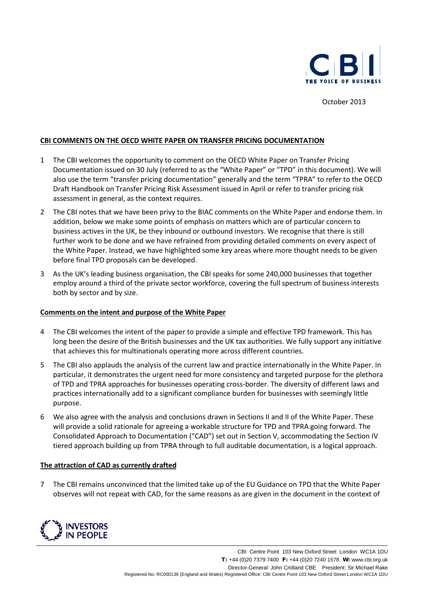

October 2013

# **CBI COMMENTS ON THE OECD WHITE PAPER ON TRANSFER PRICING DOCUMENTATION**

- 1 The CBI welcomes the opportunity to comment on the OECD White Paper on Transfer Pricing Documentation issued on 30 July (referred to as the "White Paper" or "TPD" in this document). We will also use the term "transfer pricing documentation" generally and the term "TPRA" to refer to the OECD Draft Handbook on Transfer Pricing Risk Assessment issued in April or refer to transfer pricing risk assessment in general, as the context requires.
- 2 The CBI notes that we have been privy to the BIAC comments on the White Paper and endorse them. In addition, below we make some points of emphasis on matters which are of particular concern to business actives in the UK, be they inbound or outbound investors. We recognise that there is still further work to be done and we have refrained from providing detailed comments on every aspect of the White Paper. Instead, we have highlighted some key areas where more thought needs to be given before final TPD proposals can be developed.
- 3 As the UK's leading business organisation, the CBI speaks for some 240,000 businesses that together employ around a third of the private sector workforce, covering the full spectrum of business interests both by sector and by size.

# **Comments on the intent and purpose of the White Paper**

- 4 The CBI welcomes the intent of the paper to provide a simple and effective TPD framework. This has long been the desire of the British businesses and the UK tax authorities. We fully support any initiative that achieves this for multinationals operating more across different countries.
- 5 The CBI also applauds the analysis of the current law and practice internationally in the White Paper. In particular, it demonstrates the urgent need for more consistency and targeted purpose for the plethora of TPD and TPRA approaches for businesses operating cross-border. The diversity of different laws and practices internationally add to a significant compliance burden for businesses with seemingly little purpose.
- 6 We also agree with the analysis and conclusions drawn in Sections II and II of the White Paper. These will provide a solid rationale for agreeing a workable structure for TPD and TPRA going forward. The Consolidated Approach to Documentation ("CAD") set out in Section V, accommodating the Section IV tiered approach building up from TPRA through to full auditable documentation, is a logical approach.

### **The attraction of CAD as currently drafted**

7 The CBI remains unconvinced that the limited take up of the EU Guidance on TPD that the White Paper observes will not repeat with CAD, for the same reasons as are given in the document in the context of

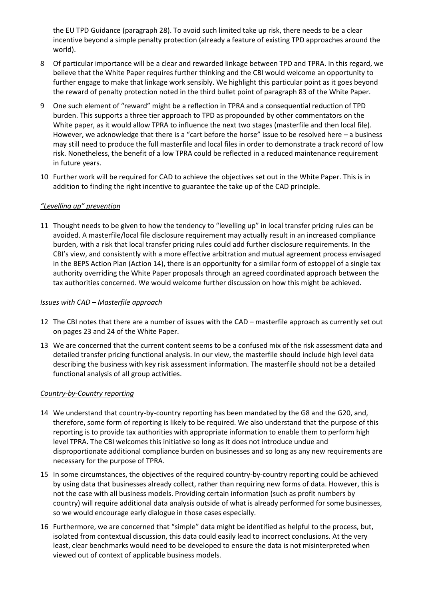the EU TPD Guidance (paragraph 28). To avoid such limited take up risk, there needs to be a clear incentive beyond a simple penalty protection (already a feature of existing TPD approaches around the world).

- 8 Of particular importance will be a clear and rewarded linkage between TPD and TPRA. In this regard, we believe that the White Paper requires further thinking and the CBI would welcome an opportunity to further engage to make that linkage work sensibly. We highlight this particular point as it goes beyond the reward of penalty protection noted in the third bullet point of paragraph 83 of the White Paper.
- 9 One such element of "reward" might be a reflection in TPRA and a consequential reduction of TPD burden. This supports a three tier approach to TPD as propounded by other commentators on the White paper, as it would allow TPRA to influence the next two stages (masterfile and then local file). However, we acknowledge that there is a "cart before the horse" issue to be resolved here – a business may still need to produce the full masterfile and local files in order to demonstrate a track record of low risk. Nonetheless, the benefit of a low TPRA could be reflected in a reduced maintenance requirement in future years.
- 10 Further work will be required for CAD to achieve the objectives set out in the White Paper. This is in addition to finding the right incentive to guarantee the take up of the CAD principle.

# *"Levelling up" prevention*

11 Thought needs to be given to how the tendency to "levelling up" in local transfer pricing rules can be avoided. A masterfile/local file disclosure requirement may actually result in an increased compliance burden, with a risk that local transfer pricing rules could add further disclosure requirements. In the CBI's view, and consistently with a more effective arbitration and mutual agreement process envisaged in the BEPS Action Plan (Action 14), there is an opportunity for a similar form of estoppel of a single tax authority overriding the White Paper proposals through an agreed coordinated approach between the tax authorities concerned. We would welcome further discussion on how this might be achieved.

# *Issues with CAD – Masterfile approach*

- 12 The CBI notes that there are a number of issues with the CAD masterfile approach as currently set out on pages 23 and 24 of the White Paper.
- 13 We are concerned that the current content seems to be a confused mix of the risk assessment data and detailed transfer pricing functional analysis. In our view, the masterfile should include high level data describing the business with key risk assessment information. The masterfile should not be a detailed functional analysis of all group activities.

# *Country-by-Country reporting*

- 14 We understand that country-by-country reporting has been mandated by the G8 and the G20, and, therefore, some form of reporting is likely to be required. We also understand that the purpose of this reporting is to provide tax authorities with appropriate information to enable them to perform high level TPRA. The CBI welcomes this initiative so long as it does not introduce undue and disproportionate additional compliance burden on businesses and so long as any new requirements are necessary for the purpose of TPRA.
- 15 In some circumstances, the objectives of the required country-by-country reporting could be achieved by using data that businesses already collect, rather than requiring new forms of data. However, this is not the case with all business models. Providing certain information (such as profit numbers by country) will require additional data analysis outside of what is already performed for some businesses, so we would encourage early dialogue in those cases especially.
- 16 Furthermore, we are concerned that "simple" data might be identified as helpful to the process, but, isolated from contextual discussion, this data could easily lead to incorrect conclusions. At the very least, clear benchmarks would need to be developed to ensure the data is not misinterpreted when viewed out of context of applicable business models.